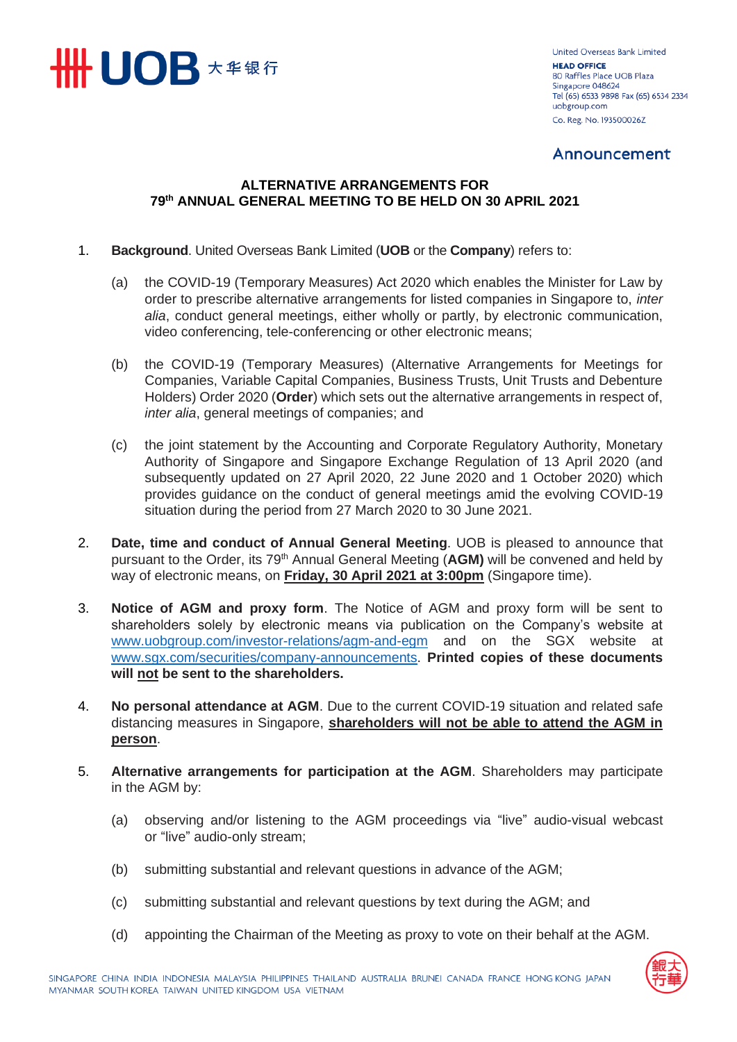

United Overseas Bank Limited **HEAD OFFICE** 80 Raffles Place UOB Plaza Singapore 048624 Tel (65) 6533 9898 Fax (65) 6534 2334 uobgroup.com Co. Reg. No. 193500026Z

## Announcement

## **ALTERNATIVE ARRANGEMENTS FOR 79th ANNUAL GENERAL MEETING TO BE HELD ON 30 APRIL 2021**

- 1. **Background**. United Overseas Bank Limited (**UOB** or the **Company**) refers to:
	- (a) the COVID-19 (Temporary Measures) Act 2020 which enables the Minister for Law by order to prescribe alternative arrangements for listed companies in Singapore to, *inter alia*, conduct general meetings, either wholly or partly, by electronic communication, video conferencing, tele-conferencing or other electronic means;
	- (b) the COVID-19 (Temporary Measures) (Alternative Arrangements for Meetings for Companies, Variable Capital Companies, Business Trusts, Unit Trusts and Debenture Holders) Order 2020 (**Order**) which sets out the alternative arrangements in respect of, *inter alia*, general meetings of companies; and
	- (c) the joint statement by the Accounting and Corporate Regulatory Authority, Monetary Authority of Singapore and Singapore Exchange Regulation of 13 April 2020 (and subsequently updated on 27 April 2020, 22 June 2020 and 1 October 2020) which provides guidance on the conduct of general meetings amid the evolving COVID-19 situation during the period from 27 March 2020 to 30 June 2021.
- 2. **Date, time and conduct of Annual General Meeting**. UOB is pleased to announce that pursuant to the Order, its 79th Annual General Meeting (**AGM)** will be convened and held by way of electronic means, on **Friday, 30 April 2021 at 3:00pm** (Singapore time).
- 3. **Notice of AGM and proxy form**. The Notice of AGM and proxy form will be sent to shareholders solely by electronic means via publication on the Company's website at [www.uobgroup.com/investor-relations/agm-and-egm](https://www.uobgroup.com/investor-relations/agm-and-egm) and on the SGX website at [www.sgx.com/securities/company-announcements.](https://www.sgx.com/securities/company-announcements) **Printed copies of these documents will not be sent to the shareholders.**
- 4. **No personal attendance at AGM**. Due to the current COVID-19 situation and related safe distancing measures in Singapore, **shareholders will not be able to attend the AGM in person**.
- 5. **Alternative arrangements for participation at the AGM**. Shareholders may participate in the AGM by:
	- (a) observing and/or listening to the AGM proceedings via "live" audio-visual webcast or "live" audio-only stream;
	- (b) submitting substantial and relevant questions in advance of the AGM;
	- (c) submitting substantial and relevant questions by text during the AGM; and
	- (d) appointing the Chairman of the Meeting as proxy to vote on their behalf at the AGM.

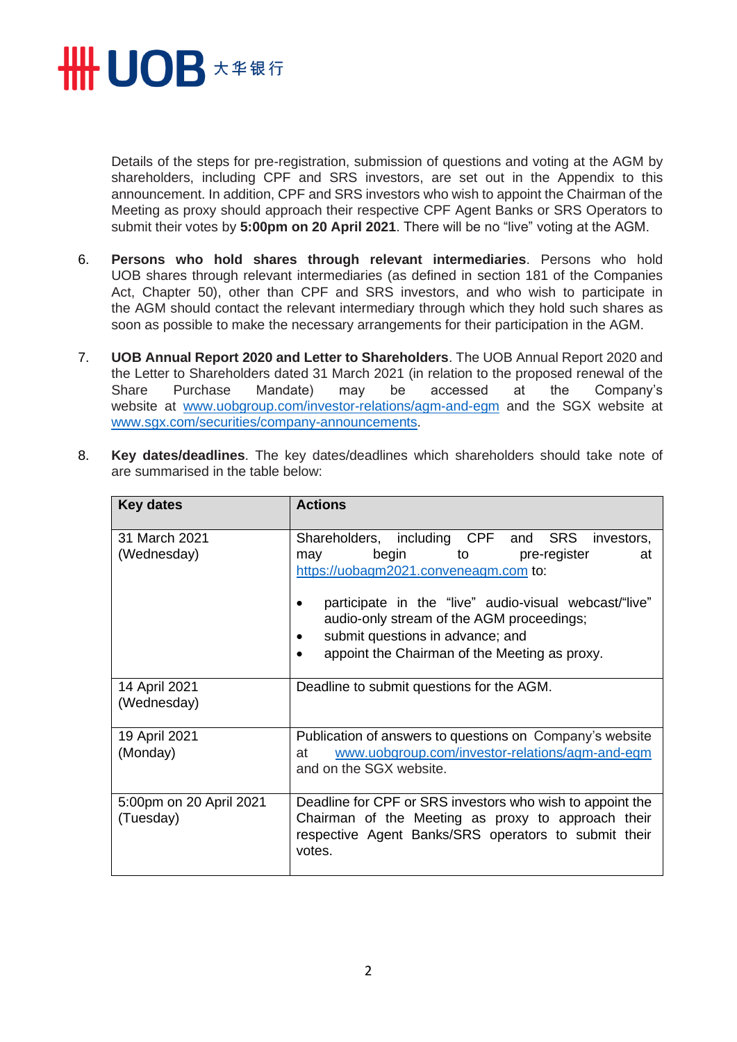

Details of the steps for pre-registration, submission of questions and voting at the AGM by shareholders, including CPF and SRS investors, are set out in the Appendix to this announcement. In addition, CPF and SRS investors who wish to appoint the Chairman of the Meeting as proxy should approach their respective CPF Agent Banks or SRS Operators to submit their votes by **5:00pm on 20 April 2021**. There will be no "live" voting at the AGM.

- 6. **Persons who hold shares through relevant intermediaries**. Persons who hold UOB shares through relevant intermediaries (as defined in section 181 of the Companies Act, Chapter 50), other than CPF and SRS investors, and who wish to participate in the AGM should contact the relevant intermediary through which they hold such shares as soon as possible to make the necessary arrangements for their participation in the AGM.
- 7. **UOB Annual Report 2020 and Letter to Shareholders**. The UOB Annual Report 2020 and the Letter to Shareholders dated 31 March 2021 (in relation to the proposed renewal of the Share Purchase Mandate) may be accessed at the Company's website at [www.uobgroup.com/investor-relations/agm-and-egm](http://www.uobgroup.com/investor-relations/agm-and-egm) and the SGX website at [www.sgx.com/securities/company-announcements.](https://www.sgx.com/securities/company-announcements)

| <b>Key dates</b>                     | <b>Actions</b>                                                                                                                                                                                                                                                                                                                 |
|--------------------------------------|--------------------------------------------------------------------------------------------------------------------------------------------------------------------------------------------------------------------------------------------------------------------------------------------------------------------------------|
| 31 March 2021<br>(Wednesday)         | Shareholders, including CPF and SRS investors,<br>begin<br>pre-register<br>to<br>may<br>at<br>https://uobagm2021.conveneagm.com to:<br>participate in the "live" audio-visual webcast/"live"<br>audio-only stream of the AGM proceedings;<br>submit questions in advance; and<br>appoint the Chairman of the Meeting as proxy. |
| 14 April 2021<br>(Wednesday)         | Deadline to submit questions for the AGM.                                                                                                                                                                                                                                                                                      |
| 19 April 2021<br>(Monday)            | Publication of answers to questions on Company's website<br>www.uobgroup.com/investor-relations/agm-and-egm<br>at<br>and on the SGX website.                                                                                                                                                                                   |
| 5:00pm on 20 April 2021<br>(Tuesday) | Deadline for CPF or SRS investors who wish to appoint the<br>Chairman of the Meeting as proxy to approach their<br>respective Agent Banks/SRS operators to submit their<br>votes.                                                                                                                                              |

8. **Key dates/deadlines**. The key dates/deadlines which shareholders should take note of are summarised in the table below: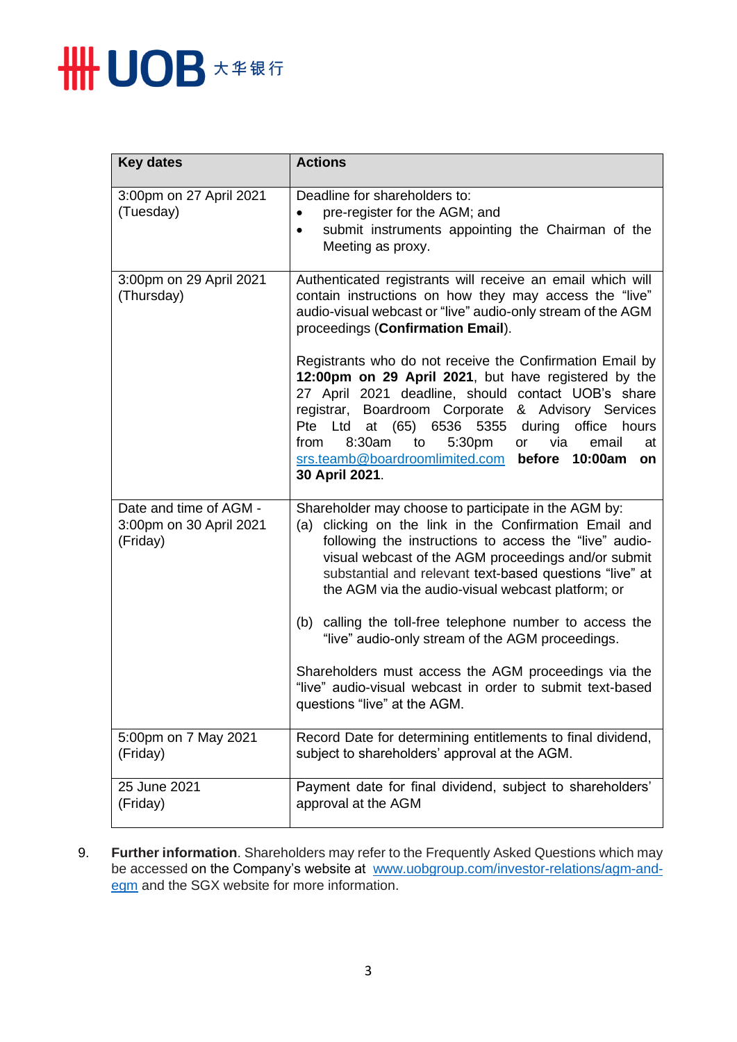

| <b>Key dates</b>                                              | <b>Actions</b>                                                                                                                                                                                                                                                                                                                                                                                                                                     |
|---------------------------------------------------------------|----------------------------------------------------------------------------------------------------------------------------------------------------------------------------------------------------------------------------------------------------------------------------------------------------------------------------------------------------------------------------------------------------------------------------------------------------|
| 3:00pm on 27 April 2021<br>(Tuesday)                          | Deadline for shareholders to:<br>pre-register for the AGM; and<br>$\bullet$<br>submit instruments appointing the Chairman of the<br>$\bullet$<br>Meeting as proxy.                                                                                                                                                                                                                                                                                 |
| 3:00pm on 29 April 2021<br>(Thursday)                         | Authenticated registrants will receive an email which will<br>contain instructions on how they may access the "live"<br>audio-visual webcast or "live" audio-only stream of the AGM<br>proceedings (Confirmation Email).                                                                                                                                                                                                                           |
|                                                               | Registrants who do not receive the Confirmation Email by<br>12:00pm on 29 April 2021, but have registered by the<br>27 April 2021 deadline, should contact UOB's share<br>registrar, Boardroom Corporate & Advisory Services<br>Pte Ltd<br>(65)<br>6536 5355<br>office<br>at<br>during<br>hours<br>8:30am<br>from<br>to<br>5:30 <sub>pm</sub><br>email<br>or<br>via<br>at<br>srs.teamb@boardroomlimited.com before 10:00am<br>on<br>30 April 2021. |
| Date and time of AGM -<br>3:00pm on 30 April 2021<br>(Friday) | Shareholder may choose to participate in the AGM by:<br>clicking on the link in the Confirmation Email and<br>(a)<br>following the instructions to access the "live" audio-<br>visual webcast of the AGM proceedings and/or submit<br>substantial and relevant text-based questions "live" at<br>the AGM via the audio-visual webcast platform; or                                                                                                 |
|                                                               | (b) calling the toll-free telephone number to access the<br>"live" audio-only stream of the AGM proceedings.                                                                                                                                                                                                                                                                                                                                       |
|                                                               | Shareholders must access the AGM proceedings via the<br>"live" audio-visual webcast in order to submit text-based<br>questions "live" at the AGM.                                                                                                                                                                                                                                                                                                  |
| 5:00pm on 7 May 2021<br>(Friday)                              | Record Date for determining entitlements to final dividend,<br>subject to shareholders' approval at the AGM.                                                                                                                                                                                                                                                                                                                                       |
| 25 June 2021<br>(Friday)                                      | Payment date for final dividend, subject to shareholders'<br>approval at the AGM                                                                                                                                                                                                                                                                                                                                                                   |

9. **Further information**. Shareholders may refer to the Frequently Asked Questions which may be accessed on the Company's website at [www.uobgroup.com/investor-relations/agm-and](https://www.uobgroup.com/investor-relations/agm-and-egm)[egm](https://www.uobgroup.com/investor-relations/agm-and-egm) and the SGX website for more information.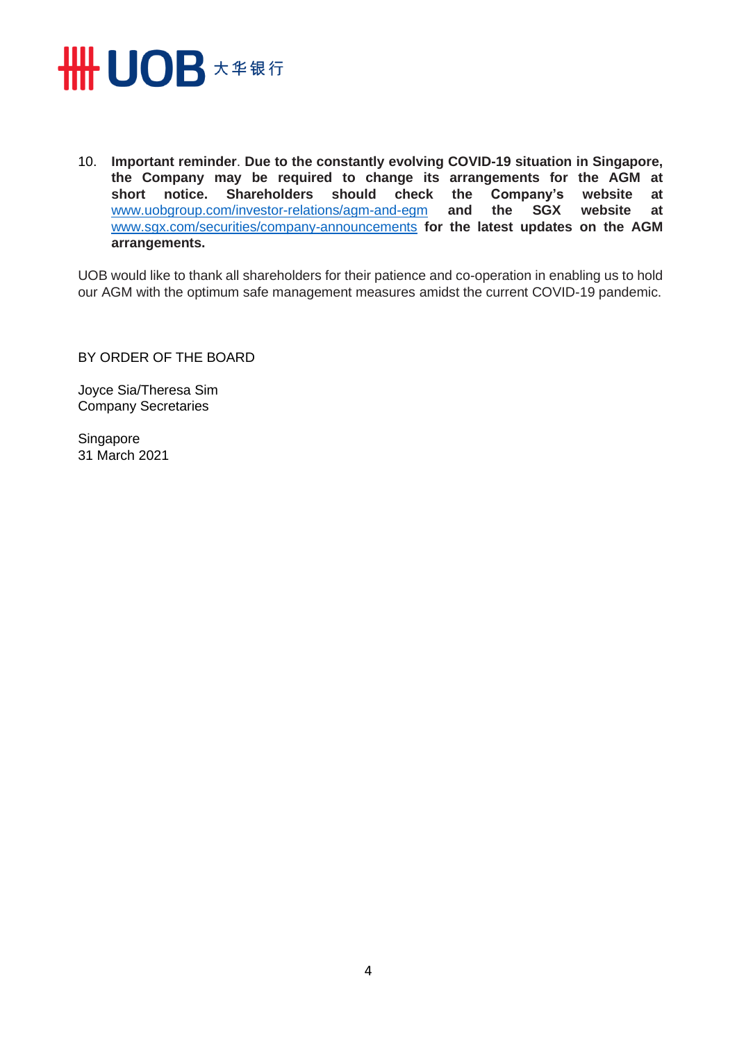

10. **Important reminder**. **Due to the constantly evolving COVID-19 situation in Singapore, the Company may be required to change its arrangements for the AGM at short notice. Shareholders should check the Company's website at**  [www.uobgroup.com/investor-relations/agm-and-egm](https://www.uobgroup.com/investor-relations/agm-and-egm) **and the SGX website at**  [www.sgx.com/securities/company-announcements](https://www.sgx.com/securities/company-announcements) **for the latest updates on the AGM arrangements.**

UOB would like to thank all shareholders for their patience and co-operation in enabling us to hold our AGM with the optimum safe management measures amidst the current COVID-19 pandemic.

BY ORDER OF THE BOARD

Joyce Sia/Theresa Sim Company Secretaries

Singapore 31 March 2021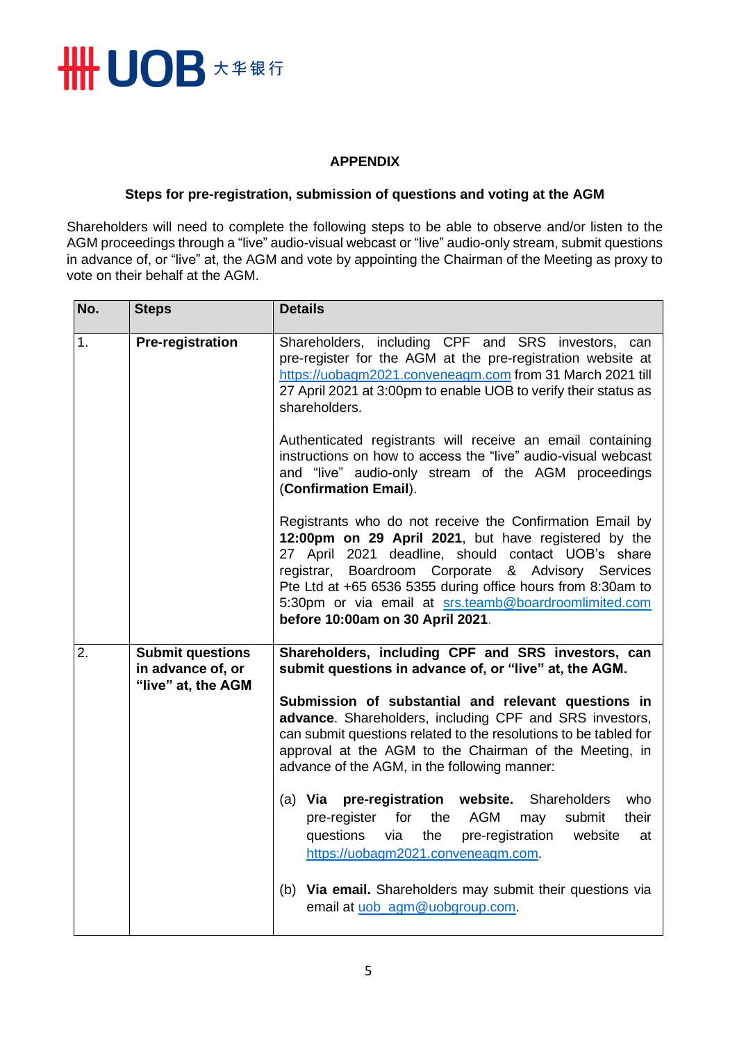

## **APPENDIX**

## **Steps for pre-registration, submission of questions and voting at the AGM**

Shareholders will need to complete the following steps to be able to observe and/or listen to the AGM proceedings through a "live" audio-visual webcast or "live" audio-only stream, submit questions in advance of, or "live" at, the AGM and vote by appointing the Chairman of the Meeting as proxy to vote on their behalf at the AGM.

| No. | <b>Steps</b>                                                       | <b>Details</b>                                                                                                                                                                                                                                                                                                                                                                           |
|-----|--------------------------------------------------------------------|------------------------------------------------------------------------------------------------------------------------------------------------------------------------------------------------------------------------------------------------------------------------------------------------------------------------------------------------------------------------------------------|
| 1.  | <b>Pre-registration</b>                                            | Shareholders, including CPF and SRS investors, can<br>pre-register for the AGM at the pre-registration website at<br>https://uobagm2021.conveneagm.com from 31 March 2021 till<br>27 April 2021 at 3:00pm to enable UOB to verify their status as<br>shareholders.                                                                                                                       |
|     |                                                                    | Authenticated registrants will receive an email containing<br>instructions on how to access the "live" audio-visual webcast<br>and "live" audio-only stream of the AGM proceedings<br>(Confirmation Email).                                                                                                                                                                              |
|     |                                                                    | Registrants who do not receive the Confirmation Email by<br>12:00pm on 29 April 2021, but have registered by the<br>27 April 2021 deadline, should contact UOB's share<br>registrar, Boardroom Corporate & Advisory Services<br>Pte Ltd at +65 6536 5355 during office hours from 8:30am to<br>5:30pm or via email at srs.teamb@boardroomlimited.com<br>before 10:00am on 30 April 2021. |
| 2.  | <b>Submit questions</b><br>in advance of, or<br>"live" at, the AGM | Shareholders, including CPF and SRS investors, can<br>submit questions in advance of, or "live" at, the AGM.                                                                                                                                                                                                                                                                             |
|     |                                                                    | Submission of substantial and relevant questions in<br>advance. Shareholders, including CPF and SRS investors,<br>can submit questions related to the resolutions to be tabled for<br>approval at the AGM to the Chairman of the Meeting, in<br>advance of the AGM, in the following manner:                                                                                             |
|     |                                                                    | (a) Via pre-registration website.<br>Shareholders<br>who<br>pre-register<br>for<br>the<br>AGM<br>their<br>may<br>submit<br>pre-registration<br>questions<br>via<br>the<br>website<br>at<br>https://uobagm2021.conveneagm.com.                                                                                                                                                            |
|     |                                                                    | (b) Via email. Shareholders may submit their questions via<br>email at uob_agm@uobgroup.com.                                                                                                                                                                                                                                                                                             |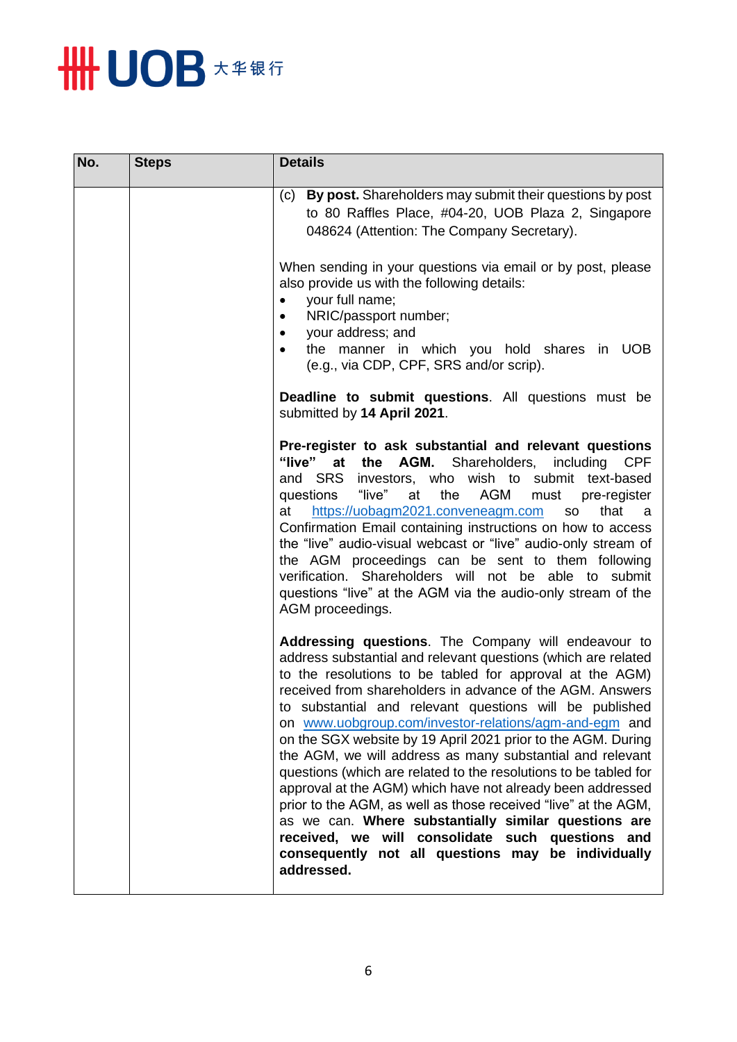

| No. | <b>Steps</b> | <b>Details</b>                                                                                                                                                                                                                                                                                                                                                                                                                                                                                                                                                                                                                                                                                                                                                                                                                                                                      |
|-----|--------------|-------------------------------------------------------------------------------------------------------------------------------------------------------------------------------------------------------------------------------------------------------------------------------------------------------------------------------------------------------------------------------------------------------------------------------------------------------------------------------------------------------------------------------------------------------------------------------------------------------------------------------------------------------------------------------------------------------------------------------------------------------------------------------------------------------------------------------------------------------------------------------------|
|     |              | By post. Shareholders may submit their questions by post<br>(c)<br>to 80 Raffles Place, #04-20, UOB Plaza 2, Singapore<br>048624 (Attention: The Company Secretary).                                                                                                                                                                                                                                                                                                                                                                                                                                                                                                                                                                                                                                                                                                                |
|     |              | When sending in your questions via email or by post, please<br>also provide us with the following details:<br>your full name;<br>NRIC/passport number;<br>your address; and<br>$\bullet$<br>the manner in which you hold shares in UOB<br>(e.g., via CDP, CPF, SRS and/or scrip).                                                                                                                                                                                                                                                                                                                                                                                                                                                                                                                                                                                                   |
|     |              | Deadline to submit questions. All questions must be<br>submitted by 14 April 2021.                                                                                                                                                                                                                                                                                                                                                                                                                                                                                                                                                                                                                                                                                                                                                                                                  |
|     |              | Pre-register to ask substantial and relevant questions<br>"live"<br>the<br>AGM.<br>Shareholders,<br>at<br>including<br><b>CPF</b><br>and SRS investors, who wish to submit text-based<br>questions<br>"live"<br>AGM<br>at<br>the<br>must<br>pre-register<br>https://uobagm2021.conveneagm.com<br>that<br>at<br><b>SO</b><br>a a<br>Confirmation Email containing instructions on how to access<br>the "live" audio-visual webcast or "live" audio-only stream of<br>the AGM proceedings can be sent to them following<br>verification. Shareholders will not be able to submit<br>questions "live" at the AGM via the audio-only stream of the<br>AGM proceedings.                                                                                                                                                                                                                  |
|     |              | Addressing questions. The Company will endeavour to<br>address substantial and relevant questions (which are related<br>to the resolutions to be tabled for approval at the AGM)<br>received from shareholders in advance of the AGM. Answers<br>to substantial and relevant questions will be published<br>on www.uobgroup.com/investor-relations/agm-and-egm and<br>on the SGX website by 19 April 2021 prior to the AGM. During<br>the AGM, we will address as many substantial and relevant<br>questions (which are related to the resolutions to be tabled for<br>approval at the AGM) which have not already been addressed<br>prior to the AGM, as well as those received "live" at the AGM,<br>as we can. Where substantially similar questions are<br>received, we will consolidate such questions and<br>consequently not all questions may be individually<br>addressed. |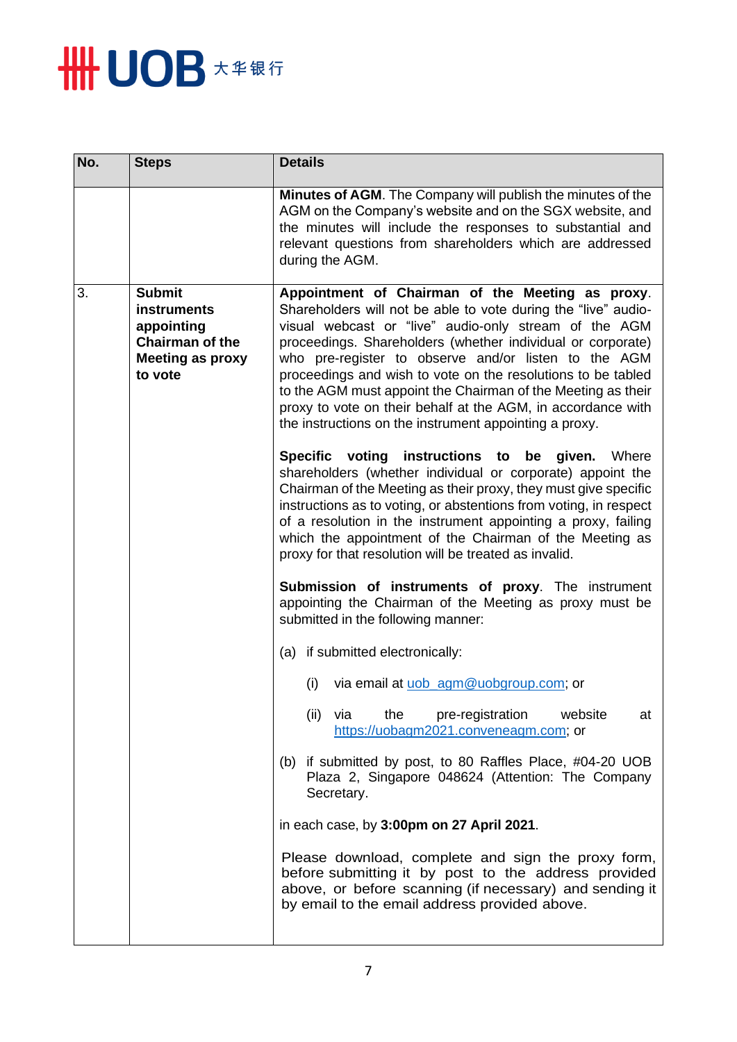

| No. | <b>Steps</b>                                                                                                      | <b>Details</b>                                                                                                                                                                                                                                                                                                                                                                                                                                                                                                                                               |
|-----|-------------------------------------------------------------------------------------------------------------------|--------------------------------------------------------------------------------------------------------------------------------------------------------------------------------------------------------------------------------------------------------------------------------------------------------------------------------------------------------------------------------------------------------------------------------------------------------------------------------------------------------------------------------------------------------------|
|     |                                                                                                                   | <b>Minutes of AGM.</b> The Company will publish the minutes of the<br>AGM on the Company's website and on the SGX website, and<br>the minutes will include the responses to substantial and<br>relevant questions from shareholders which are addressed<br>during the AGM.                                                                                                                                                                                                                                                                                   |
| 3.  | <b>Submit</b><br><b>instruments</b><br>appointing<br><b>Chairman of the</b><br><b>Meeting as proxy</b><br>to vote | Appointment of Chairman of the Meeting as proxy.<br>Shareholders will not be able to vote during the "live" audio-<br>visual webcast or "live" audio-only stream of the AGM<br>proceedings. Shareholders (whether individual or corporate)<br>who pre-register to observe and/or listen to the AGM<br>proceedings and wish to vote on the resolutions to be tabled<br>to the AGM must appoint the Chairman of the Meeting as their<br>proxy to vote on their behalf at the AGM, in accordance with<br>the instructions on the instrument appointing a proxy. |
|     |                                                                                                                   | Specific voting instructions to be given. Where<br>shareholders (whether individual or corporate) appoint the<br>Chairman of the Meeting as their proxy, they must give specific<br>instructions as to voting, or abstentions from voting, in respect<br>of a resolution in the instrument appointing a proxy, failing<br>which the appointment of the Chairman of the Meeting as<br>proxy for that resolution will be treated as invalid.                                                                                                                   |
|     |                                                                                                                   | <b>Submission of instruments of proxy.</b> The instrument<br>appointing the Chairman of the Meeting as proxy must be<br>submitted in the following manner:                                                                                                                                                                                                                                                                                                                                                                                                   |
|     |                                                                                                                   | (a) if submitted electronically:                                                                                                                                                                                                                                                                                                                                                                                                                                                                                                                             |
|     |                                                                                                                   | via email at uob_agm@uobgroup.com; or<br>(i)                                                                                                                                                                                                                                                                                                                                                                                                                                                                                                                 |
|     |                                                                                                                   | pre-registration<br>website<br>(ii)<br>via<br>the<br>at<br>https://uobagm2021.conveneagm.com; or                                                                                                                                                                                                                                                                                                                                                                                                                                                             |
|     |                                                                                                                   | (b) if submitted by post, to 80 Raffles Place, #04-20 UOB<br>Plaza 2, Singapore 048624 (Attention: The Company<br>Secretary.                                                                                                                                                                                                                                                                                                                                                                                                                                 |
|     |                                                                                                                   | in each case, by 3:00pm on 27 April 2021.                                                                                                                                                                                                                                                                                                                                                                                                                                                                                                                    |
|     |                                                                                                                   | Please download, complete and sign the proxy form,<br>before submitting it by post to the address provided<br>above, or before scanning (if necessary) and sending it<br>by email to the email address provided above.                                                                                                                                                                                                                                                                                                                                       |
|     |                                                                                                                   |                                                                                                                                                                                                                                                                                                                                                                                                                                                                                                                                                              |